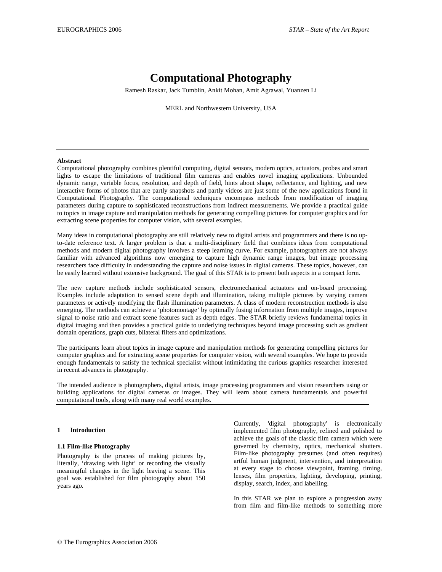## **Computational Photography**

Ramesh Raskar, Jack Tumblin, Ankit Mohan, Amit Agrawal, Yuanzen Li

MERL and Northwestern University, USA

#### **Abstract**

Computational photography combines plentiful computing, digital sensors, modern optics, actuators, probes and smart lights to escape the limitations of traditional film cameras and enables novel imaging applications. Unbounded dynamic range, variable focus, resolution, and depth of field, hints about shape, reflectance, and lighting, and new interactive forms of photos that are partly snapshots and partly videos are just some of the new applications found in Computational Photography. The computational techniques encompass methods from modification of imaging parameters during capture to sophisticated reconstructions from indirect measurements. We provide a practical guide to topics in image capture and manipulation methods for generating compelling pictures for computer graphics and for extracting scene properties for computer vision, with several examples.

Many ideas in computational photography are still relatively new to digital artists and programmers and there is no upto-date reference text. A larger problem is that a multi-disciplinary field that combines ideas from computational methods and modern digital photography involves a steep learning curve. For example, photographers are not always familiar with advanced algorithms now emerging to capture high dynamic range images, but image processing researchers face difficulty in understanding the capture and noise issues in digital cameras. These topics, however, can be easily learned without extensive background. The goal of this STAR is to present both aspects in a compact form.

The new capture methods include sophisticated sensors, electromechanical actuators and on-board processing. Examples include adaptation to sensed scene depth and illumination, taking multiple pictures by varying camera parameters or actively modifying the flash illumination parameters. A class of modern reconstruction methods is also emerging. The methods can achieve a 'photomontage' by optimally fusing information from multiple images, improve signal to noise ratio and extract scene features such as depth edges. The STAR briefly reviews fundamental topics in digital imaging and then provides a practical guide to underlying techniques beyond image processing such as gradient domain operations, graph cuts, bilateral filters and optimizations.

The participants learn about topics in image capture and manipulation methods for generating compelling pictures for computer graphics and for extracting scene properties for computer vision, with several examples. We hope to provide enough fundamentals to satisfy the technical specialist without intimidating the curious graphics researcher interested in recent advances in photography.

The intended audience is photographers, digital artists, image processing programmers and vision researchers using or building applications for digital cameras or images. They will learn about camera fundamentals and powerful computational tools, along with many real world examples.

#### **1 Introduction**

#### **1.1 Film-like Photography**

Photography is the process of making pictures by, literally, 'drawing with light' or recording the visually meaningful changes in the light leaving a scene. This goal was established for film photography about 150 years ago.

Currently, 'digital photography' is electronically implemented film photography, refined and polished to achieve the goals of the classic film camera which were governed by chemistry, optics, mechanical shutters. Film-like photography presumes (and often requires) artful human judgment, intervention, and interpretation at every stage to choose viewpoint, framing, timing, lenses, film properties, lighting, developing, printing, display, search, index, and labelling.

In this STAR we plan to explore a progression away from film and film-like methods to something more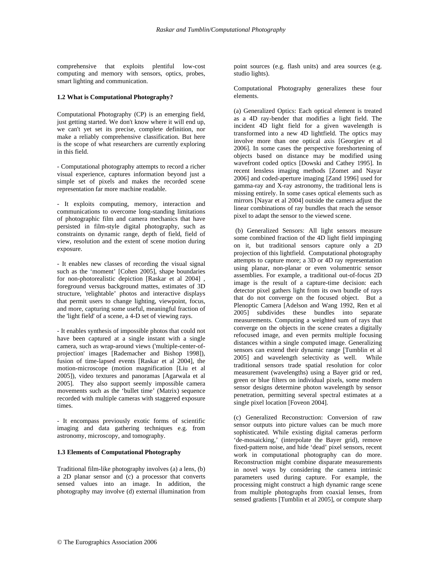comprehensive that exploits plentiful low-cost computing and memory with sensors, optics, probes, smart lighting and communication.

## **1.2 What is Computational Photography?**

Computational Photography (CP) is an emerging field, just getting started. We don't know where it will end up, we can't yet set its precise, complete definition, nor make a reliably comprehensive classification. But here is the scope of what researchers are currently exploring in this field.

- Computational photography attempts to record a richer visual experience, captures information beyond just a simple set of pixels and makes the recorded scene representation far more machine readable.

- It exploits computing, memory, interaction and communications to overcome long-standing limitations of photographic film and camera mechanics that have persisted in film-style digital photography, such as constraints on dynamic range, depth of field, field of view, resolution and the extent of scene motion during exposure.

- It enables new classes of recording the visual signal such as the 'moment' [Cohen 2005], shape boundaries for non-photorealistic depiction [Raskar et al 2004] , foreground versus background mattes, estimates of 3D structure, 'relightable' photos and interactive displays that permit users to change lighting, viewpoint, focus, and more, capturing some useful, meaningful fraction of the 'light field' of a scene, a 4-D set of viewing rays.

- It enables synthesis of impossible photos that could not have been captured at a single instant with a single camera, such as wrap-around views ('multiple-center-ofprojection' images [Rademacher and Bishop 1998]), fusion of time-lapsed events [Raskar et al 2004], the motion-microscope (motion magnification [Liu et al 2005]), video textures and panoramas [Agarwala et al 2005]. They also support seemly impossible camera movements such as the 'bullet time' (Matrix) sequence recorded with multiple cameras with staggered exposure times.

- It encompass previously exotic forms of scientific imaging and data gathering techniques e.g. from astronomy, microscopy, and tomography.

## **1.3 Elements of Computational Photography**

Traditional film-like photography involves (a) a lens, (b) a 2D planar sensor and (c) a processor that converts sensed values into an image. In addition, the photography may involve (d) external illumination from

point sources (e.g. flash units) and area sources (e.g. studio lights).

Computational Photography generalizes these four elements.

(a) Generalized Optics: Each optical element is treated as a 4D ray-bender that modifies a light field. The incident 4D light field for a given wavelength is transformed into a new 4D lightfield. The optics may involve more than one optical axis [Georgiev et al 2006]. In some cases the perspective foreshortening of objects based on distance may be modified using wavefront coded optics [Dowski and Cathey 1995]. In recent lensless imaging methods [Zomet and Nayar 2006] and coded-aperture imaging [Zand 1996] used for gamma-ray and X-ray astronomy, the traditional lens is missing entirely. In some cases optical elements such as mirrors [Nayar et al 2004] outside the camera adjust the linear combinations of ray bundles that reach the sensor pixel to adapt the sensor to the viewed scene.

(b) Generalized Sensors: All light sensors measure some combined fraction of the 4D light field impinging on it, but traditional sensors capture only a 2D projection of this lightfield. Computational photography attempts to capture more; a 3D or 4D ray representation using planar, non-planar or even volumentric sensor assemblies. For example, a traditional out-of-focus 2D image is the result of a capture-time decision: each detector pixel gathers light from its own bundle of rays that do not converge on the focused object. But a Plenoptic Camera [Adelson and Wang 1992, Ren et al 2005] subdivides these bundles into separate measurements. Computing a weighted sum of rays that converge on the objects in the scene creates a digitally refocused image, and even permits multiple focusing distances within a single computed image. Generalizing sensors can extend their dynamic range [Tumblin et al 2005] and wavelength selectivity as well. While traditional sensors trade spatial resolution for color measurement (wavelengths) using a Bayer grid or red, green or blue filters on individual pixels, some modern sensor designs determine photon wavelength by sensor penetration, permitting several spectral estimates at a single pixel location [Foveon 2004].

(c) Generalized Reconstruction: Conversion of raw sensor outputs into picture values can be much more sophisticated. While existing digital cameras perform 'de-mosaicking,' (interpolate the Bayer grid), remove fixed-pattern noise, and hide 'dead' pixel sensors, recent work in computational photography can do more. Reconstruction might combine disparate measurements in novel ways by considering the camera intrinsic parameters used during capture. For example, the processing might construct a high dynamic range scene from multiple photographs from coaxial lenses, from sensed gradients [Tumblin et al 2005], or compute sharp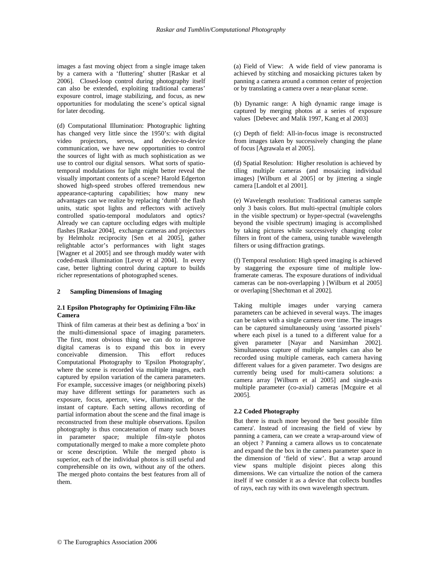images a fast moving object from a single image taken by a camera with a 'fluttering' shutter [Raskar et al 2006]. Closed-loop control during photography itself can also be extended, exploiting traditional cameras' exposure control, image stabilizing, and focus, as new opportunities for modulating the scene's optical signal for later decoding.

(d) Computational Illumination: Photographic lighting has changed very little since the 1950's: with digital video projectors, servos, and device-to-device communication, we have new opportunities to control the sources of light with as much sophistication as we use to control our digital sensors. What sorts of spatiotemporal modulations for light might better reveal the visually important contents of a scene? Harold Edgerton showed high-speed strobes offered tremendous new appearance-capturing capabilities; how many new advantages can we realize by replacing 'dumb' the flash units, static spot lights and reflectors with actively controlled spatio-temporal modulators and optics? Already we can capture occluding edges with multiple flashes [Raskar 2004], exchange cameras and projectors by Helmholz reciprocity [Sen et al 2005], gather relightable actor's performances with light stages [Wagner et al 2005] and see through muddy water with coded-mask illumination [Levoy et al 2004]. In every case, better lighting control during capture to builds richer representations of photographed scenes.

#### **2 Sampling Dimensions of Imaging**

## **2.1 Epsilon Photography for Optimizing Film-like Camera**

Think of film cameras at their best as defining a 'box' in the multi-dimensional space of imaging parameters. The first, most obvious thing we can do to improve digital cameras is to expand this box in every conceivable dimension. This effort reduces Computational Photography to 'Epsilon Photography', where the scene is recorded via multiple images, each captured by epsilon variation of the camera parameters. For example, successive images (or neighboring pixels) may have different settings for parameters such as exposure, focus, aperture, view, illumination, or the instant of capture. Each setting allows recording of partial information about the scene and the final image is reconstructed from these multiple observations. Epsilon photography is thus concatenation of many such boxes in parameter space; multiple film-style photos computationally merged to make a more complete photo or scene description. While the merged photo is superior, each of the individual photos is still useful and comprehensible on its own, without any of the others. The merged photo contains the best features from all of them.

(a) Field of View: A wide field of view panorama is achieved by stitching and mosaicking pictures taken by panning a camera around a common center of projection or by translating a camera over a near-planar scene.

(b) Dynamic range: A high dynamic range image is captured by merging photos at a series of exposure values [Debevec and Malik 1997, Kang et al 2003]

(c) Depth of field: All-in-focus image is reconstructed from images taken by successively changing the plane of focus [Agrawala et al 2005].

(d) Spatial Resolution: Higher resolution is achieved by tiling multiple cameras (and mosaicing individual images) [Wilburn et al 2005] or by jittering a single camera [Landolt et al 2001].

(e) Wavelength resolution: Traditional cameras sample only 3 basis colors. But multi-spectral (multiple colors in the visible spectrum) or hyper-spectral (wavelengths beyond the visible spectrum) imaging is accomplished by taking pictures while successively changing color filters in front of the camera, using tunable wavelength filters or using diffraction gratings.

(f) Temporal resolution: High speed imaging is achieved by staggering the exposure time of multiple lowframerate cameras. The exposure durations of individual cameras can be non-overlapping ) [Wilburn et al 2005] or overlaping [Shechtman et al 2002].

Taking multiple images under varying camera parameters can be achieved in several ways. The images can be taken with a single camera over time. The images can be captured simultaneously using 'assorted pixels' where each pixel is a tuned to a different value for a given parameter [Nayar and Narsimhan 2002]. Simultaneous capture of multiple samples can also be recorded using multiple cameras, each camera having different values for a given parameter. Two designs are currently being used for multi-camera solutions: a camera array [Wilburn et al 2005] and single-axis multiple parameter (co-axial) cameras [Mcguire et al 2005].

## **2.2 Coded Photography**

But there is much more beyond the 'best possible film camera'. Instead of increasing the field of view by panning a camera, can we create a wrap-around view of an object ? Panning a camera allows us to concatenate and expand the the box in the camera parameter space in the dimension of 'field of view'. But a wrap around view spans multiple disjoint pieces along this dimensions. We can virtualize the notion of the camera itself if we consider it as a device that collects bundles of rays, each ray with its own wavelength spectrum.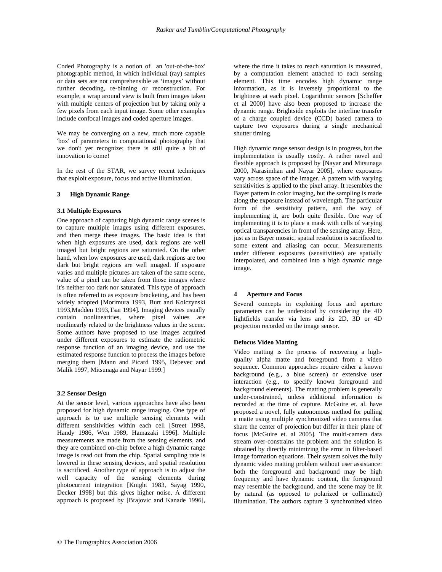Coded Photography is a notion of an 'out-of-the-box' photographic method, in which individual (ray) samples or data sets are not comprehensible as 'images' without further decoding, re-binning or reconstruction. For example, a wrap around view is built from images taken with multiple centers of projection but by taking only a few pixels from each input image. Some other examples include confocal images and coded aperture images.

We may be converging on a new, much more capable 'box' of parameters in computational photography that we don't yet recognize; there is still quite a bit of innovation to come!

In the rest of the STAR, we survey recent techniques that exploit exposure, focus and active illumination.

## **3 High Dynamic Range**

## **3.1 Multiple Exposures**

One approach of capturing high dynamic range scenes is to capture multiple images using different exposures, and then merge these images. The basic idea is that when high exposures are used, dark regions are well imaged but bright regions are saturated. On the other hand, when low exposures are used, dark regions are too dark but bright regions are well imaged. If exposure varies and multiple pictures are taken of the same scene, value of a pixel can be taken from those images where it's neither too dark nor saturated. This type of approach is often referred to as exposure bracketing, and has been widely adopted [Morimura 1993, Burt and Kolczynski 1993,Madden 1993,Tsai 1994]. Imaging devices usually contain nonlinearities, where pixel values are nonlinearly related to the brightness values in the scene. Some authors have proposed to use images acquired under different exposures to estimate the radiometric response function of an imaging device, and use the estimated response function to process the images before merging them [Mann and Picard 1995, Debevec and Malik 1997, Mitsunaga and Nayar 1999.]

## **3.2 Sensor Design**

At the sensor level, various approaches have also been proposed for high dynamic range imaging. One type of approach is to use multiple sensing elements with different sensitivities within each cell [Street 1998, Handy 1986, Wen 1989, Hamazaki 1996]. Multiple measurements are made from the sensing elements, and they are combined on-chip before a high dynamic range image is read out from the chip. Spatial sampling rate is lowered in these sensing devices, and spatial resolution is sacrificed. Another type of approach is to adjust the well capacity of the sensing elements during photocurrent integration [Knight 1983, Sayag 1990, Decker 1998] but this gives higher noise. A different approach is proposed by [Brajovic and Kanade 1996],

where the time it takes to reach saturation is measured, by a computation element attached to each sensing element. This time encodes high dynamic range information, as it is inversely proportional to the brightness at each pixel. Logarithmic sensors [Scheffer et al 2000] have also been proposed to increase the dynamic range. Brightside exploits the interline transfer of a charge coupled device (CCD) based camera to capture two exposures during a single mechanical shutter timing.

High dynamic range sensor design is in progress, but the implementation is usually costly. A rather novel and flexible approach is proposed by [Nayar and Mitsunaga 2000, Narasimhan and Nayar 2005], where exposures vary across space of the imager. A pattern with varying sensitivities is applied to the pixel array. It resembles the Bayer pattern in color imaging, but the sampling is made along the exposure instead of wavelength. The particular form of the sensitivity pattern, and the way of implementing it, are both quite flexible. One way of implementing it is to place a mask with cells of varying optical transparencies in front of the sensing array. Here, just as in Bayer mosaic, spatial resolution is sacrificed to some extent and aliasing can occur. Measurements under different exposures (sensitivities) are spatially interpolated, and combined into a high dynamic range image.

## **4 Aperture and Focus**

Several concepts in exploiting focus and aperture parameters can be understood by considering the 4D lightfields transfer via lens and its 2D, 3D or 4D projection recorded on the image sensor.

## **Defocus Video Matting**

Video matting is the process of recovering a highquality alpha matte and foreground from a video sequence. Common approaches require either a known background (e.g., a blue screen) or extensive user interaction (e.g., to specify known foreground and background elements). The matting problem is generally under-constrained, unless additional information is recorded at the time of capture. McGuire et. al. have proposed a novel, fully autonomous method for pulling a matte using multiple synchronized video cameras that share the center of projection but differ in their plane of focus [McGuire et. al 2005]. The multi-camera data stream over-constrains the problem and the solution is obtained by directly minimizing the error in filter-based image formation equations. Their system solves the fully dynamic video matting problem without user assistance: both the foreground and background may be high frequency and have dynamic content, the foreground may resemble the background, and the scene may be lit by natural (as opposed to polarized or collimated) illumination. The authors capture 3 synchronized video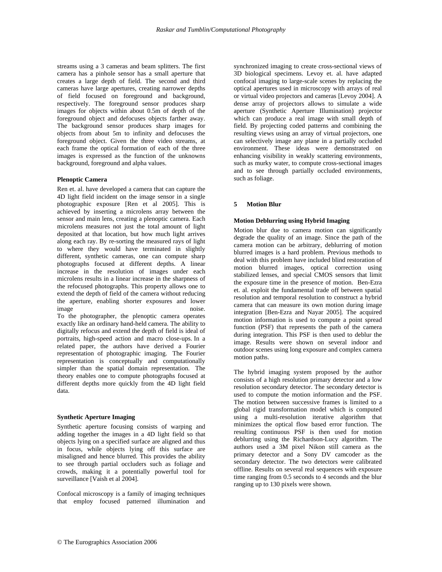streams using a 3 cameras and beam splitters. The first camera has a pinhole sensor has a small aperture that creates a large depth of field. The second and third cameras have large apertures, creating narrower depths of field focused on foreground and background, respectively. The foreground sensor produces sharp images for objects within about 0.5m of depth of the foreground object and defocuses objects farther away. The background sensor produces sharp images for objects from about 5m to infinity and defocuses the foreground object. Given the three video streams, at each frame the optical formation of each of the three images is expressed as the function of the unknowns background, foreground and alpha values.

## **Plenoptic Camera**

Ren et. al. have developed a camera that can capture the 4D light field incident on the image sensor in a single photographic exposure [Ren et al 2005]. This is achieved by inserting a microlens array between the sensor and main lens, creating a plenoptic camera. Each microlens measures not just the total amount of light deposited at that location, but how much light arrives along each ray. By re-sorting the measured rays of light to where they would have terminated in slightly different, synthetic cameras, one can compute sharp photographs focused at different depths. A linear increase in the resolution of images under each microlens results in a linear increase in the sharpness of the refocused photographs. This property allows one to extend the depth of field of the camera without reducing the aperture, enabling shorter exposures and lower image noise. To the photographer, the plenoptic camera operates exactly like an ordinary hand-held camera. The ability to digitally refocus and extend the depth of field is ideal of portraits, high-speed action and macro close-ups. In a

related paper, the authors have derived a Fourier representation of photographic imaging. The Fourier representation is conceptually and computationally simpler than the spatial domain representation. The theory enables one to compute photographs focused at different depths more quickly from the 4D light field data.

## **Synthetic Aperture Imaging**

Synthetic aperture focusing consists of warping and adding together the images in a 4D light field so that objects lying on a specified surface are aligned and thus in focus, while objects lying off this surface are misaligned and hence blurred. This provides the ability to see through partial occluders such as foliage and crowds, making it a potentially powerful tool for surveillance [Vaish et al 2004].

Confocal microscopy is a family of imaging techniques that employ focused patterned illumination and

synchronized imaging to create cross-sectional views of 3D biological specimens. Levoy et. al. have adapted confocal imaging to large-scale scenes by replacing the optical apertures used in microscopy with arrays of real or virtual video projectors and cameras [Levoy 2004]. A dense array of projectors allows to simulate a wide aperture (Synthetic Aperture Illumination) projector which can produce a real image with small depth of field. By projecting coded patterns and combining the resulting views using an array of virtual projectors, one can selectively image any plane in a partially occluded environment. These ideas were demonstrated on enhancing visibility in weakly scattering environments, such as murky water, to compute cross-sectional images and to see through partially occluded environments, such as foliage.

## **5 Motion Blur**

## **Motion Deblurring using Hybrid Imaging**

Motion blur due to camera motion can significantly degrade the quality of an image. Since the path of the camera motion can be arbitrary, deblurring of motion blurred images is a hard problem. Previous methods to deal with this problem have included blind restoration of motion blurred images, optical correction using stabilized lenses, and special CMOS sensors that limit the exposure time in the presence of motion. Ben-Ezra et. al. exploit the fundamental trade off between spatial resolution and temporal resolution to construct a hybrid camera that can measure its own motion during image integration [Ben-Ezra and Nayar 2005]. The acquired motion information is used to compute a point spread function (PSF) that represents the path of the camera during integration. This PSF is then used to deblur the image. Results were shown on several indoor and outdoor scenes using long exposure and complex camera motion paths.

The hybrid imaging system proposed by the author consists of a high resolution primary detector and a low resolution secondary detector. The secondary detector is used to compute the motion information and the PSF. The motion between successive frames is limited to a global rigid transformation model which is computed using a multi-resolution iterative algorithm that minimizes the optical flow based error function. The resulting continuous PSF is then used for motion deblurring using the Richardson-Lucy algorithm. The authors used a 3M pixel Nikon still camera as the primary detector and a Sony DV camcoder as the secondary detector. The two detectors were calibrated offline. Results on several real sequences with exposure time ranging from 0.5 seconds to 4 seconds and the blur ranging up to 130 pixels were shown.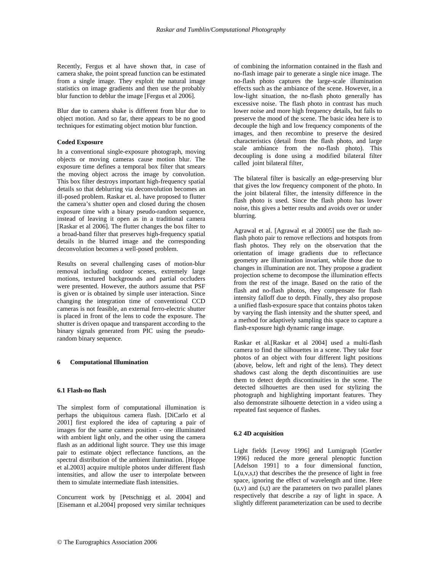Recently, Fergus et al have shown that, in case of camera shake, the point spread function can be estimated from a single image. They exploit the natural image statistics on image gradients and then use the probably blur function to deblur the image [Fergus et al 2006].

Blur due to camera shake is different from blur due to object motion. And so far, there appears to be no good techniques for estimating object motion blur function.

## **Coded Exposure**

In a conventional single-exposure photograph, moving objects or moving cameras cause motion blur. The exposure time defines a temporal box filter that smears the moving object across the image by convolution. This box filter destroys important high-frequency spatial details so that deblurring via deconvolution becomes an ill-posed problem. Raskar et. al. have proposed to flutter the camera's shutter open and closed during the chosen exposure time with a binary pseudo-random sequence, instead of leaving it open as in a traditional camera [Raskar et al 2006]. The flutter changes the box filter to a broad-band filter that preserves high-frequency spatial details in the blurred image and the corresponding deconvolution becomes a well-posed problem.

Results on several challenging cases of motion-blur removal including outdoor scenes, extremely large motions, textured backgrounds and partial occluders were presented. However, the authors assume that PSF is given or is obtained by simple user interaction. Since changing the integration time of conventional CCD cameras is not feasible, an external ferro-electric shutter is placed in front of the lens to code the exposure. The shutter is driven opaque and transparent according to the binary signals generated from PIC using the pseudorandom binary sequence.

#### **6 Computational Illumination**

#### **6.1 Flash-no flash**

The simplest form of computational illumination is perhaps the ubiquitous camera flash. [DiCarlo et al 2001] first explored the idea of capturing a pair of images for the same camera position - one illuminated with ambient light only, and the other using the camera flash as an additional light source. They use this image pair to estimate object reflectance functions, an the spectral distribution of the ambient ilumination. [Hoppe et al.2003] acquire multiple photos under different flash intensities, and allow the user to interpolate between them to simulate intermediate flash intensities.

Concurrent work by [Petschnigg et al. 2004] and [Eisemann et al.2004] proposed very similar techniques

of combining the information contained in the flash and no-flash image pair to generate a single nice image. The no-flash photo captures the large-scale illumination effects such as the ambiance of the scene. However, in a low-light situation, the no-flash photo generally has excessive noise. The flash photo in contrast has much lower noise and more high frequency details, but fails to preserve the mood of the scene. The basic idea here is to decouple the high and low frequency components of the images, and then recombine to preserve the desired characteristics (detail from the flash photo, and large scale ambiance from the no-flash photo). This decoupling is done using a modified bilateral filter called joint bilateral filter,

The bilateral filter is basically an edge-preserving blur that gives the low frequency component of the photo. In the joint bilateral filter, the intensity difference in the flash photo is used. Since the flash photo has lower noise, this gives a better results and avoids over or under blurring.

Agrawal et al. [Agrawal et al 20005] use the flash noflash photo pair to remove reflections and hotspots from flash photos. They rely on the observation that the orientation of image gradients due to reflectance geometry are illumination invariant, while those due to changes in illumination are not. They propose a gradient projection scheme to decompose the illumination effects from the rest of the image. Based on the ratio of the flash and no-flash photos, they compensate for flash intensity falloff due to depth. Finally, they also propose a unified flash-exposure space that contains photos taken by varying the flash intensity and the shutter speed, and a method for adaptively sampling this space to capture a flash-exposure high dynamic range image.

Raskar et al.[Raskar et al 2004] used a multi-flash camera to find the silhouettes in a scene. They take four photos of an object with four different light positions (above, below, left and right of the lens). They detect shadows cast along the depth discontinuities are use them to detect depth discontinuities in the scene. The detected silhouettes are then used for stylizing the photograph and highlighting important features. They also demonstrate silhouette detection in a video using a repeated fast sequence of flashes.

#### **6.2 4D acquisition**

Light fields [Levoy 1996] and Lumigraph [Gortler 1996} reduced the more general plenoptic function [Adelson 1991] to a four dimensional function,  $L(u,v,s,t)$  that describes the the presence of light in free space, ignoring the effect of wavelength and time. Here  $(u,v)$  and  $(s,t)$  are the parameters on two parallel planes respectively that describe a ray of light in space. A slightly different parameterization can be used to decribe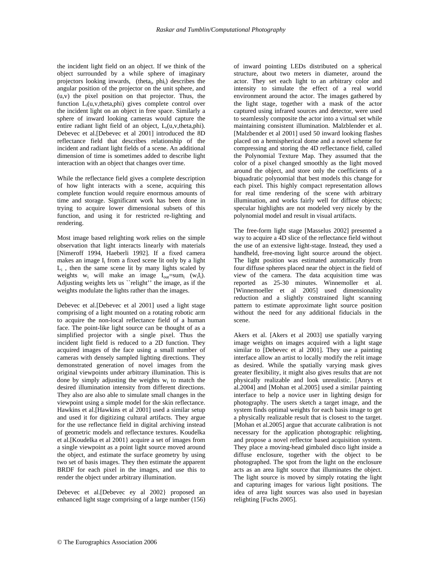the incident light field on an object. If we think of the object surrounded by a while sphere of imaginary projectors looking inwards, (theta<sub>i</sub>, phi<sub>i</sub>) describes the angular position of the projector on the unit sphere, and (u,v) the pixel position on that projector. Thus, the function  $L_i(u, v, theta, phi)$  gives complete control over the incident light on an object in free space. Similarly a sphere of inward looking cameras would capture the entire radiant light field of an object,  $L_r(u, v, t)$ , theta,phi). Debevec et al.[Debevec et al 2001] introduced the 8D reflectance field that describes relationship of the incident and radiant light fields of a scene. An additional dimension of time is sometimes added to describe light interaction with an object that changes over time.

While the reflectance field gives a complete description of how light interacts with a scene, acquiring this complete function would require enormous amounts of time and storage. Significant work has been done in trying to acquire lower dimensional subsets of this function, and using it for restricted re-lighting and rendering.

Most image based relighting work relies on the simple observation that light interacts linearly with materials [Nimeroff 1994, Haeberli 1992]. If a fixed camera makes an image  $I_i$  from a fixed scene lit only by a light  $L_i$ , then the same scene lit by many lights scaled by weights  $w_i$  will make an image  $I_{out} = sum_i$  ( $w_iI_i$ ). Adjusting weights lets us ``relight'' the image, as if the weights modulate the lights rather than the images.

Debevec et al.[Debevec et al 2001] used a light stage comprising of a light mounted on a rotating robotic arm to acquire the non-local reflectance field of a human face. The point-like light source can be thought of as a simplified projector with a single pixel. Thus the incident light field is reduced to a 2D function. They acquired images of the face using a small number of cameras with densely sampled lighting directions. They demonstrated generation of novel images from the original viewpoints under arbitrary illumination. This is done by simply adjusting the weights  $w_i$  to match the desired illumination intensity from different directions. They also are also able to simulate small changes in the viewpoint using a simple model for the skin reflectance. Hawkins et al.[Hawkins et al 2001] used a similar setup and used it for digitizing cultural artifacts. They argue for the use reflectance field in digital archiving instead of geometric models and reflectance textures. Koudelka et al.[Koudelka et al 2001} acquire a set of images from a single viewpoint as a point light source moved around the object, and estimate the surface geometry by using two set of basis images. They then estimate the apparent BRDF for each pixel in the images, and use this to render the object under arbitrary illumination.

Debevec et al.[Debevec ey al 2002} proposed an enhanced light stage comprising of a large number (156) of inward pointing LEDs distributed on a spherical structure, about two meters in diameter, around the actor. They set each light to an arbitrary color and intensity to simulate the effect of a real world environment around the actor. The images gathered by the light stage, together with a mask of the actor captured using infrared sources and detector, were used to seamlessly composite the actor into a virtual set while maintaining consistent illumination. Malzblender et al. [Malzbender et al 2001] used 50 inward looking flashes placed on a hemispherical dome and a novel scheme for compressing and storing the 4D reflectance field, called the Polynomial Texture Map. They assumed that the color of a pixel changed smoothly as the light moved around the object, and store only the coefficients of a biquadratic polynomial that best models this change for each pixel. This highly compact representation allows for real time rendering of the scene with arbitrary illumination, and works fairly well for diffuse objects; specular highlights are not modeled very nicely by the polynomial model and result in visual artifacts.

The free-form light stage [Masselus 2002] presented a way to acquire a 4D slice of the reflectance field without the use of an extensive light-stage. Instead, they used a handheld, free-moving light source around the object. The light position was estimated automatically from four diffuse spheres placed near the object in the field of view of the camera. The data acquisition time was reported as 25-30 minutes. Winnemoller et al. [Winnemoeller et al 2005] used dimensionality reduction and a slightly constrained light scanning pattern to estimate approximate light source position without the need for any additional fiducials in the scene.

Akers et al. [Akers et al 2003] use spatially varying image weights on images acquired with a light stage similar to [Debevec et al 2001]. They use a painting interface allow an artist to locally modify the relit image as desired. While the spatially varying mask gives greater flexibility, it might also gives results that are not physically realizable and look unrealistic. [Anrys et al.2004] and [Mohan et al.2005] used a similar painting interface to help a novice user in lighting design for photography. The users sketch a target image, and the system finds optimal weights for each basis image to get a physically realizable result that is closest to the target. [Mohan et al.2005] argue that accurate calibration is not necessary for the application photographic relighting, and propose a novel reflector based acquisition system. They place a moving-head gimbaled disco light inside a diffuse enclosure, together with the object to be photographed. The spot from the light on the enclosure acts as an area light source that illuminates the object. The light source is moved by simply rotating the light and capturing images for various light positions. The idea of area light sources was also used in bayesian relighting [Fuchs 2005].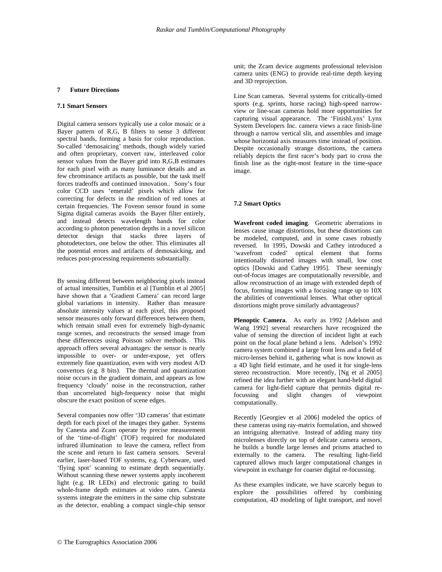## **7 Future Directions**

#### **7.1 Smart Sensors**

Digital camera sensors typically use a color mosaic or a Bayer pattern of R,G, B filters to sense 3 different spectral bands, forming a basis for color reproduction. So-called 'demosaicing' methods, though widely varied and often proprietary, convert raw, interleaved color sensor values from the Bayer grid into R,G,B estimates for each pixel with as many luminance details and as few chrominance artifacts as possible, but the task itself forces tradeoffs and continued innovation.. Sony's four color CCD uses 'emerald' pixels which allow for correcting for defects in the rendition of red tones at certain frequencies. The Foveon sensor found in some Sigma digital cameras avoids the Bayer filter entirely, and instead detects wavelength bands for color according to photon penetration depths in a novel silicon detector design that stacks three layers of photodetectors, one below the other. This eliminates all the potential errors and artifacts of demosaicking, and reduces post-processing requirements substantially.

By sensing different between neighboring pixels instead of actual intensities, Tumblin et al [Tumblin et al 2005] have shown that a 'Gradient Camera' can record large global variations in intensity. Rather than measure absolute intensity values at each pixel, this proposed sensor measures only forward differences between them, which remain small even for extremely high-dynamic range scenes, and reconstructs the sensed image from these differences using Poisson solver methods. This approach offers several advantages: the sensor is nearly impossible to over- or under-expose, yet offers extremely fine quantization, even with very modest A/D convertors (e.g. 8 bits). The thermal and quantization noise occurs in the gradient domain, and appears as low frequency 'cloudy' noise in the reconstruction, rather than uncorrelated high-frequency noise that might obscure the exact position of scene edges.

Several companies now offer '3D cameras' that estimate depth for each pixel of the images they gather. Systems by Canesta and Zcam operate by precise measurement of the 'time-of-flight' (TOF) required for modulated infrared illumination to leave the camera, reflect from the scene and return to fast camera sensors. Several earlier, laser-based TOF systems, e.g. Cyberware, used 'flying spot' scanning to estimate depth sequentially. Without scanning these newer systems apply incoherent light (e.g. IR LEDs) and electronic gating to build whole-frame depth estimates at video rates. Canesta systems integrate the emitters in the same chip substrate as the detector, enabling a compact single-chip sensor

unit; the Zcam device augments professional television camera units (ENG) to provide real-time depth keying and 3D reprojection.

Line Scan cameras. Several systems for critically-timed sports (e.g. sprints, horse racing) high-speed narrowview or line-scan cameras hold more opportunities for capturing visual appearance. The 'FinishLynx' Lynx System Developers Inc. camera views a race finish-line through a narrow vertical slit, and assembles and image whose horizontal axis measures time instead of position. Despite occasionally strange distortions, the camera reliably depicts the first racer's body part to cross the finish line as the right-most feature in the time-space image.

## **7.2 Smart Optics**

**Wavefront coded imaging**. Geometric aberrations in lenses cause image distortions, but these distortions can be modeled, computed, and in some cases robustly reversed. In 1995, Dowski and Cathey introduced a 'wavefront coded' optical element that forms intentionally distorted images with small, low cost optics [Dowski and Cathey 1995]. These seemingly out-of-focus images are computationally reversible, and allow reconstruction of an image with extended depth of focus, forming images with a focusing range up to 10X the abilities of conventional lenses. What other optical distortions might prove similarly advantageous?

Plenoptic Camera. As early as 1992 [Adelson and Wang 1992] several researchers have recognized the value of sensing the direction of incident light at each point on the focal plane behind a lens. Adelson's 1992 camera system combined a large front lens and a field of micro-lenses behind it, gathering what is now known as a 4D light field estimate, and he used it for single-lens stereo reconstruction. More recently, [Ng et al 2005] refined the idea further with an elegant hand-held digital camera for light-field capture that permits digital refocussing and slight changes of viewpoint computationally.

Recently [Georgiev et al 2006] modeled the optics of these cameras using ray-matrix formulation, and showed an intriguing alternative. Instead of adding many tiny microlenses directly on top of delicate camera sensors, he builds a bundle large lenses and prisms attached to externally to the camera. The resulting light-field captured allows much larger computational changes in viewpoint in exchange for coarser digital re-focussing.

As these examples indicate, we have scarcely begun to explore the possibilities offered by combining computation, 4D modeling of light transport, and novel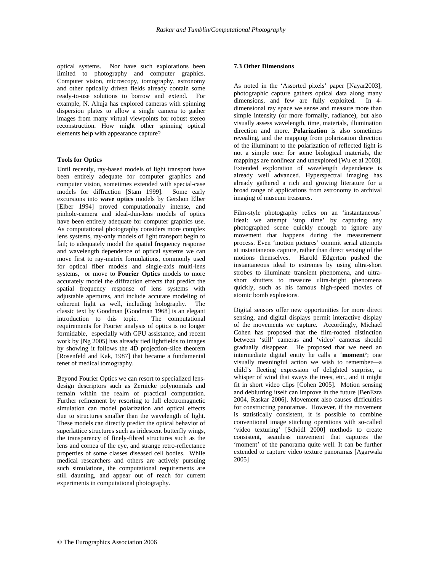optical systems. Nor have such explorations been limited to photography and computer graphics. Computer vision, microscopy, tomography, astronomy and other optically driven fields already contain some ready-to-use solutions to borrow and extend. For example, N. Ahuja has explored cameras with spinning dispersion plates to allow a single camera to gather images from many virtual viewpoints for robust stereo reconstruction. How might other spinning optical elements help with appearance capture?

## **Tools for Optics**

Until recently, ray-based models of light transport have been entirely adequate for computer graphics and computer vision, sometimes extended with special-case models for diffraction [Stam 1999]. Some early excursions into **wave optics** models by Gershon Elber [Elber 1994] proved computationally intense, and pinhole-camera and ideal-thin-lens models of optics have been entirely adequate for computer graphics use. As computational photography considers more complex lens systems, ray-only models of light transport begin to fail; to adequately model the spatial frequency response and wavelength dependence of optical systems we can move first to ray-matrix formulations, commonly used for optical fiber models and single-axis multi-lens systems, or move to **Fourier Optics** models to more accurately model the diffraction effects that predict the spatial frequency response of lens systems with adjustable apertures, and include accurate modeling of coherent light as well, including holography. The classic text by Goodman [Goodman 1968] is an elegant introduction to this topic. The computational requirements for Fourier analysis of optics is no longer formidable, especially with GPU assistance, and recent work by [Ng 2005] has already tied lightfields to images by showing it follows the 4D projection-slice theorem [Rosenfeld and Kak, 1987] that became a fundamental tenet of medical tomography.

Beyond Fourier Optics we can resort to specialized lensdesign descriptors such as Zernicke polynomials and remain within the realm of practical computation. Further refinement by resorting to full electromagnetic simulation can model polarization and optical effects due to structures smaller than the wavelength of light. These models can directly predict the optical behavior of superlattice structures such as iridescent butterfly wings, the transparency of finely-fibred structures such as the lens and cornea of the eye, and strange retro-reflectance properties of some classes diseased cell bodies. While medical researchers and others are actively pursuing such simulations, the computational requirements are still daunting, and appear out of reach for current experiments in computational photography.

## **7.3 Other Dimensions**

As noted in the 'Assorted pixels' paper [Nayar2003], photographic capture gathers optical data along many dimensions, and few are fully exploited. In 4 dimensional ray space we sense and measure more than simple intensity (or more formally, radiance), but also visually assess wavelength, time, materials, illumination direction and more. **Polarization** is also sometimes revealing, and the mapping from polarization direction of the illuminant to the polarization of reflected light is not a simple one: for some biological materials, the mappings are nonlinear and unexplored [Wu et al 2003]. Extended exploration of wavelength dependence is already well advanced. Hyperspectral imaging has already gathered a rich and growing literature for a broad range of applications from astronomy to archival imaging of museum treasures.

Film-style photography relies on an 'instantaneous' ideal: we attempt 'stop time' by capturing any photographed scene quickly enough to ignore any movement that happens during the measurement process. Even 'motion pictures' commit serial attempts at instantaneous capture, rather than direct sensing of the motions themselves. Harold Edgerton pushed the instantaneous ideal to extremes by using ultra-short strobes to illuminate transient phenomena, and ultrashort shutters to measure ultra-bright phenomena quickly, such as his famous high-speed movies of atomic bomb explosions.

Digital sensors offer new opportunities for more direct sensing, and digital displays permit interactive display of the movements we capture. Accordingly, Michael Cohen has proposed that the film-rooted distinction between 'still' cameras and 'video' cameras should gradually disappear. He proposed that we need an intermediate digital entity he calls a '**moment'**; one visually meaningful action we wish to remember—a child's fleeting expression of delighted surprise, a whisper of wind that sways the trees, etc., and it might fit in short video clips [Cohen 2005]. Motion sensing and deblurring itself can improve in the future [BenEzra 2004, Raskar 2006]. Movement also causes difficulties for constructing panoramas. However, if the movement is statistically consistent, it is possible to combine conventional image stitching operations with so-called 'video texturing' [Schödl 2000] methods to create consistent, seamless movement that captures the 'moment' of the panorama quite well. It can be further extended to capture video texture panoramas [Agarwala 2005]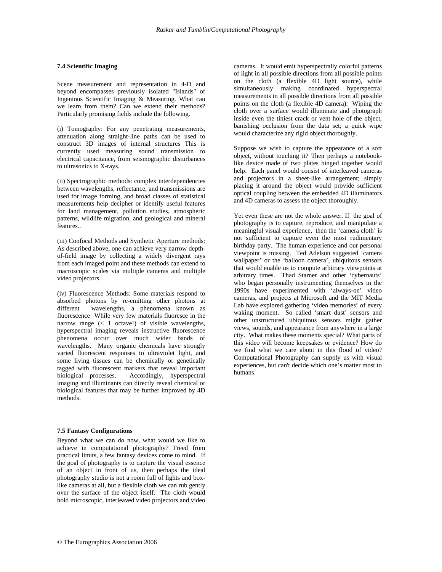#### **7.4 Scientific Imaging**

Scene measurement and representation in 4-D and beyond encompasses previously isolated "Islands" of Ingenious Scientific Imaging & Measuring. What can we learn from them? Can we extend their methods? Particularly promising fields include the following.

(i) Tomography: For any penetrating measurements, attenuation along straight-line paths can be used to construct 3D images of internal structures This is currently used measuring sound transmission to electrical capacitance, from seismographic disturbances to ultrasonics to X-rays.

(ii) Spectrographic methods: complex interdependencies between wavelengths, reflectance, and transmissions are used for image forming, and broad classes of statistical measurements help decipher or identify useful features for land management, pollution studies, atmospheric patterns, wildlife migration, and geological and mineral features..

(iii) Confocal Methods and Synthetic Aperture methods: As described above, one can achieve very narrow depthof-field image by collecting a widely divergent rays from each imaged point and these methods can extend to macroscopic scales via multiple cameras and multiple video projectors.

(iv) Fluorescence Methods: Some materials respond to absorbed photons by re-emitting other photons at different wavelengths, a phenomena known as fluorescence While very few materials fluoresce in the narrow range  $\left($  < 1 octave!) of visible wavelengths, hyperspectral imaging reveals instructive fluorescence phenomena occur over much wider bands of wavelengths. Many organic chemicals have strongly varied fluorescent responses to ultraviolet light, and some living tissues can be chemically or genetically tagged with fluorescent markers that reveal important biological processes. Accordingly, hyperspectral imaging and illuminants can directly reveal chemical or biological features that may be further improved by 4D methods.

#### **7.5 Fantasy Configurations**

Beyond what we can do now, what would we like to achieve in computational photography? Freed from practical limits, a few fantasy devices come to mind. If the goal of photography is to capture the visual essence of an object in front of us, then perhaps the ideal photography studio is not a room full of lights and boxlike cameras at all, but a flexible cloth we can rub gently over the surface of the object itself. The cloth would hold microscopic, interleaved video projectors and video

cameras. It would emit hyperspectrally colorful patterns of light in all possible directions from all possible points on the cloth (a flexible 4D light source), while simultaneously making coordinated hyperspectral measurements in all possible directions from all possible points on the cloth (a flexible 4D camera). Wiping the cloth over a surface would illuminate and photograph inside even the tiniest crack or vent hole of the object, banishing occlusion from the data set; a quick wipe would characterize any rigid object thoroughly.

Suppose we wish to capture the appearance of a soft object, without touching it? Then perhaps a notebooklike device made of two plates hinged together would help. Each panel would consist of interleaved cameras and projectors in a sheet-like arrangement; simply placing it around the object would provide sufficient optical coupling between the embedded 4D illuminators and 4D cameras to assess the object thoroughly.

Yet even these are not the whole answer. If the goal of photography is to capture, reproduce, and manipulate a meaningful visual experience, then the 'camera cloth' is not sufficient to capture even the most rudimentary birthday party. The human experience and our personal viewpoint is missing. Ted Adelson suggested 'camera wallpaper' or the 'balloon camera', ubiquitous sensors that would enable us to compute arbitrary viewpoints at arbitrary times. Thad Starner and other 'cybernauts' who began personally instrumenting themselves in the 1990s have experimented with 'always-on' video cameras, and projects at Microsoft and the MIT Media Lab have explored gathering 'video memories' of every waking moment. So called 'smart dust' sensors and other unstructured ubiquitous sensors might gather views, sounds, and appearance from anywhere in a large city. What makes these moments special? What parts of this video will become keepsakes or evidence? How do we find what we care about in this flood of video? Computational Photography can supply us with visual experiences, but can't decide which one's matter most to humans.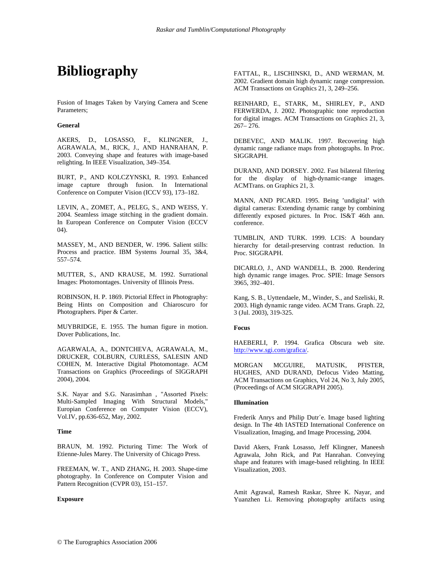# **Bibliography**

Fusion of Images Taken by Varying Camera and Scene Parameters;

#### **General**

AKERS, D., LOSASSO, F., KLINGNER, J., AGRAWALA, M., RICK, J., AND HANRAHAN, P. 2003. Conveying shape and features with image-based relighting. In IEEE Visualization, 349–354.

BURT, P., AND KOLCZYNSKI, R. 1993. Enhanced image capture through fusion. In International Conference on Computer Vision (ICCV 93), 173–182.

LEVIN, A., ZOMET, A., PELEG, S., AND WEISS, Y. 2004. Seamless image stitching in the gradient domain. In European Conference on Computer Vision (ECCV 04).

MASSEY, M., AND BENDER, W. 1996. Salient stills: Process and practice. IBM Systems Journal 35, 3&4, 557–574.

MUTTER, S., AND KRAUSE, M. 1992. Surrational Images: Photomontages. University of Illinois Press.

ROBINSON, H. P. 1869. Pictorial Effect in Photography: Being Hints on Composition and Chiaroscuro for Photographers. Piper & Carter.

MUYBRIDGE, E. 1955. The human figure in motion. Dover Publications, Inc.

AGARWALA, A., DONTCHEVA, AGRAWALA, M., DRUCKER, COLBURN, CURLESS, SALESIN AND COHEN, M. Interactive Digital Photomontage. ACM Transactions on Graphics (Proceedings of SIGGRAPH 2004), 2004.

S.K. Nayar and S.G. Narasimhan , "Assorted Pixels: Multi-Sampled Imaging With Structural Models," Europian Conference on Computer Vision (ECCV), Vol.IV, pp.636-652, May, 2002.

#### **Time**

BRAUN, M. 1992. Picturing Time: The Work of Etienne-Jules Marey. The University of Chicago Press.

FREEMAN, W. T., AND ZHANG, H. 2003. Shape-time photography. In Conference on Computer Vision and Pattern Recognition (CVPR 03), 151–157.

#### **Exposure**

FATTAL, R., LISCHINSKI, D., AND WERMAN, M. 2002. Gradient domain high dynamic range compression. ACM Transactions on Graphics 21, 3, 249–256.

REINHARD, E., STARK, M., SHIRLEY, P., AND FERWERDA, J. 2002. Photographic tone reproduction for digital images. ACM Transactions on Graphics 21, 3, 267– 276.

DEBEVEC, AND MALIK. 1997. Recovering high dynamic range radiance maps from photographs. In Proc. SIGGRAPH.

DURAND, AND DORSEY. 2002. Fast bilateral filtering for the display of high-dynamic-range images. ACMTrans. on Graphics 21, 3.

MANN, AND PICARD. 1995. Being 'undigital' with digital cameras: Extending dynamic range by combining differently exposed pictures. In Proc. IS&T 46th ann. conference.

TUMBLIN, AND TURK. 1999. LCIS: A boundary hierarchy for detail-preserving contrast reduction. In Proc. SIGGRAPH.

DICARLO, J., AND WANDELL, B. 2000. Rendering high dynamic range images. Proc. SPIE: Image Sensors 3965, 392–401.

Kang, S. B., Uyttendaele, M., Winder, S., and Szeliski, R. 2003. High dynamic range video. ACM Trans. Graph. 22, 3 (Jul. 2003), 319-325.

#### **Focus**

HAEBERLI, P. 1994. Grafica Obscura web site. <http://www.sgi.com/grafica/>.

MORGAN MCGUIRE, MATUSIK, PFISTER, HUGHES, AND DURAND, Defocus Video Matting, ACM Transactions on Graphics, Vol 24, No 3, July 2005, (Proceedings of ACM SIGGRAPH 2005).

#### **Illumination**

Frederik Anrys and Philip Dutr´e. Image based lighting design. In The 4th IASTED International Conference on Visualization, Imaging, and Image Processing, 2004.

David Akers, Frank Losasso, Jeff Klingner, Maneesh Agrawala, John Rick, and Pat Hanrahan. Conveying shape and features with image-based relighting. In IEEE Visualization, 2003.

Amit Agrawal, Ramesh Raskar, Shree K. Nayar, and Yuanzhen Li. Removing photography artifacts using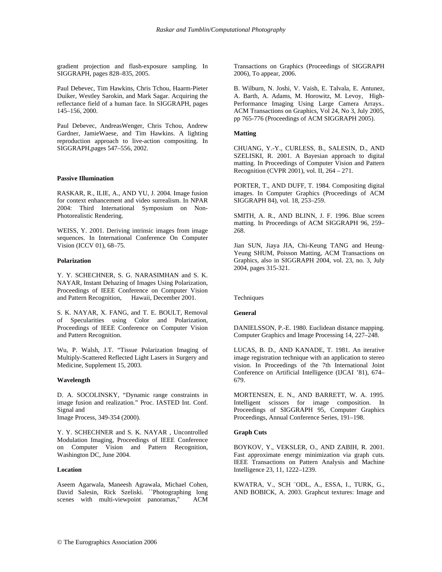gradient projection and flash-exposure sampling. In SIGGRAPH, pages 828–835, 2005.

Paul Debevec, Tim Hawkins, Chris Tchou, Haarm-Pieter Duiker, Westley Sarokin, and Mark Sagar. Acquiring the reflectance field of a human face. In SIGGRAPH, pages 145–156, 2000.

Paul Debevec, AndreasWenger, Chris Tchou, Andrew Gardner, JamieWaese, and Tim Hawkins. A lighting reproduction approach to live-action compositing. In SIGGRAPH,pages 547–556, 2002.

#### **Passive Illumination**

RASKAR, R., ILIE, A., AND YU, J. 2004. Image fusion for context enhancement and video surrealism. In NPAR 2004: Third International Symposium on Non-Photorealistic Rendering.

WEISS, Y. 2001. Deriving intrinsic images from image sequences. In International Conference On Computer Vision (ICCV 01), 68–75.

#### **Polarization**

Y. Y. SCHECHNER, S. G. NARASIMHAN and S. K. NAYAR, Instant Dehazing of Images Using Polarization, Proceedings of IEEE Conference on Computer Vision and Pattern Recognition, Hawaii, December 2001.

S. K. NAYAR, X. FANG, and T. E. BOULT, Removal of Specularities using Color and Polarization, Proceedings of IEEE Conference on Computer Vision and Pattern Recognition.

Wu, P. Walsh, J.T. "Tissue Polarization Imaging of Multiply-Scattered Reflected Light Lasers in Surgery and Medicine, Supplement 15, 2003.

### **Wavelength**

D. A. SOCOLINSKY, "Dynamic range constraints in image fusion and realization." Proc. IASTED Int. Conf. Signal and Image Process, 349-354 (2000).

Y. Y. SCHECHNER and S. K. NAYAR , Uncontrolled Modulation Imaging, Proceedings of IEEE Conference on Computer Vision and Pattern Recognition, Washington DC, June 2004.

## **Location**

Aseem Agarwala, Maneesh Agrawala, Michael Cohen, David Salesin, Rick Szeliski. ``Photographing long scenes with multi-viewpoint panoramas,'' ACM Transactions on Graphics (Proceedings of SIGGRAPH 2006), To appear, 2006.

B. Wilburn, N. Joshi, V. Vaish, E. Talvala, E. Antunez, A. Barth, A. Adams, M. Horowitz, M. Levoy, High-Performance Imaging Using Large Camera Arrays.. ACM Transactions on Graphics, Vol 24, No 3, July 2005, pp 765-776 (Proceedings of ACM SIGGRAPH 2005).

#### **Matting**

CHUANG, Y.-Y., CURLESS, B., SALESIN, D., AND SZELISKI, R. 2001. A Bayesian approach to digital matting. In Proceedings of Computer Vision and Pattern Recognition (CVPR 2001), vol. II, 264 – 271.

PORTER, T., AND DUFF, T. 1984. Compositing digital images. In Computer Graphics (Proceedings of ACM SIGGRAPH 84), vol. 18, 253–259.

SMITH, A. R., AND BLINN, J. F. 1996. Blue screen matting. In Proceedings of ACM SIGGRAPH 96, 259– 268.

Jian SUN, Jiaya JIA, Chi-Keung TANG and Heung-Yeung SHUM, Poisson Matting, ACM Transactions on Graphics, also in SIGGRAPH 2004, vol. 23, no. 3, July 2004, pages 315-321.

## Techniques

## **General**

DANIELSSON, P.-E. 1980. Euclidean distance mapping. Computer Graphics and Image Processing 14, 227–248.

LUCAS, B. D., AND KANADE, T. 1981. An iterative image registration technique with an application to stereo vision. In Proceedings of the 7th International Joint Conference on Artificial Intelligence (IJCAI '81), 674– 679.

MORTENSEN, E. N., AND BARRETT, W. A. 1995. Intelligent scissors for image composition. In Proceedings of SIGGRAPH 95, Computer Graphics Proceedings, Annual Conference Series, 191–198.

## **Graph Cuts**

BOYKOV, Y., VEKSLER, O., AND ZABIH, R. 2001. Fast approximate energy minimization via graph cuts. IEEE Transactions on Pattern Analysis and Machine Intelligence 23, 11, 1222–1239.

KWATRA, V., SCH ¨ODL, A., ESSA, I., TURK, G., AND BOBICK, A. 2003. Graphcut textures: Image and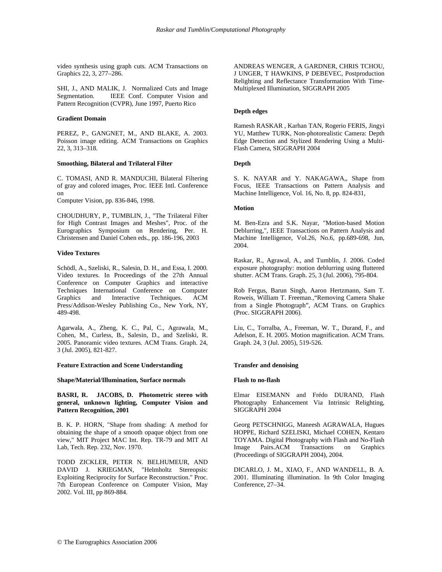video synthesis using graph cuts. ACM Transactions on Graphics 22, 3, 277–286.

SHI, J., AND MALIK, J. Normalized Cuts and Image Segmentation. IEEE Conf. Computer Vision and Pattern Recognition (CVPR), June 1997, Puerto Rico

## **Gradient Domain**

PEREZ, P., GANGNET, M., AND BLAKE, A. 2003. Poisson image editing. ACM Transactions on Graphics 22, 3, 313–318.

#### **Smoothing, Bilateral and Trilateral Filter**

C. TOMASI, AND R. MANDUCHI, Bilateral Filtering of gray and colored images, Proc. IEEE Intl. Conference on Computer Vision, pp. 836-846, 1998.

CHOUDHURY, P., TUMBLIN, J., "The Trilateral Filter for High Contrast Images and Meshes", Proc. of the Eurographics Symposium on Rendering, Per. H. Christensen and Daniel Cohen eds., pp. 186-196, 2003

## **Video Textures**

Schödl, A., Szeliski, R., Salesin, D. H., and Essa, I. 2000. Video textures. In Proceedings of the 27th Annual Conference on Computer Graphics and interactive Techniques International Conference on Computer Graphics and Interactive Techniques. ACM Press/Addison-Wesley Publishing Co., New York, NY, 489-498.

Agarwala, A., Zheng, K. C., Pal, C., Agrawala, M., Cohen, M., Curless, B., Salesin, D., and Szeliski, R. 2005. Panoramic video textures. ACM Trans. Graph. 24, 3 (Jul. 2005), 821-827.

#### **Feature Extraction and Scene Understanding**

### **Shape/Material/Illumination, Surface normals**

## **BASRI, R. JACOBS, D. Photometric stereo with general, unknown lighting, Computer Vision and Pattern Recognition, 2001**

B. K. P. HORN, "Shape from shading: A method for obtaining the shape of a smooth opaque object from one view," MIT Project MAC Int. Rep. TR-79 and MIT AI Lab, Tech. Rep. 232, Nov. 1970.

TODD ZICKLER, PETER N. BELHUMEUR, AND DAVID J. KRIEGMAN, "Helmholtz Stereopsis: Exploiting Reciprocity for Surface Reconstruction." Proc. 7th European Conference on Computer Vision, May 2002. Vol. III, pp 869-884.

ANDREAS WENGER, A GARDNER, CHRIS TCHOU, J UNGER, T HAWKINS, P DEBEVEC, Postproduction Relighting and Reflectance Transformation With Time-Multiplexed Illumination, SIGGRAPH 2005

## **Depth edges**

Ramesh RASKAR , Karhan TAN, Rogerio FERIS, Jingyi YU, Matthew TURK, Non-photorealistic Camera: Depth Edge Detection and Stylized Rendering Using a Multi-Flash Camera, SIGGRAPH 2004

## **Depth**

S. K. NAYAR and Y. NAKAGAWA,, Shape from Focus, IEEE Transactions on Pattern Analysis and Machine Intelligence, Vol. 16, No. 8, pp. 824-831,

## **Motion**

M. Ben-Ezra and S.K. Nayar, "Motion-based Motion Deblurring,", IEEE Transactions on Pattern Analysis and Machine Intelligence, Vol.26, No.6, pp.689-698, Jun, 2004.

Raskar, R., Agrawal, A., and Tumblin, J. 2006. Coded exposure photography: motion deblurring using fluttered shutter. ACM Trans. Graph. 25, 3 (Jul. 2006), 795-804.

Rob Fergus, Barun Singh, Aaron Hertzmann, Sam T. Roweis, William T. Freeman.,"Removing Camera Shake from a Single Photograph", ACM Trans. on Graphics (Proc. SIGGRAPH 2006).

Liu, C., Torralba, A., Freeman, W. T., Durand, F., and Adelson, E. H. 2005. Motion magnification. ACM Trans. Graph. 24, 3 (Jul. 2005), 519-526.

## **Transfer and denoising**

### **Flash to no-flash**

Elmar EISEMANN and Frédo DURAND, Flash Photography Enhancement Via Intrinsic Relighting, SIGGRAPH 2004

Georg PETSCHNIGG, Maneesh AGRAWALA, Hugues HOPPE, Richard SZELISKI, Michael COHEN, Kentaro TOYAMA. Digital Photography with Flash and No-Flash Image Pairs.ACM Transactions on Graphics (Proceedings of SIGGRAPH 2004), 2004.

DICARLO, J. M., XIAO, F., AND WANDELL, B. A. 2001. Illuminating illumination. In 9th Color Imaging Conference, 27–34.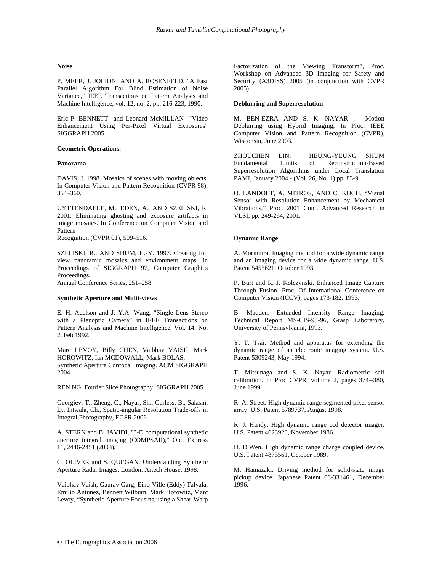## **Noise**

P. MEER, J. JOLION, AND A. ROSENFELD, "A Fast Parallel Algorithm For Blind Estimation of Noise Variance," IEEE Transactions on Pattern Analysis and Machine Intelligence, vol. 12, no. 2, pp. 216-223, 1990.

Eric P. BENNETT and Leonard McMILLAN "Video Enhancement Using Per-Pixel Virtual Exposures" SIGGRAPH 2005

#### **Geometric Operations:**

## **Panorama**

DAVIS, J. 1998. Mosaics of scenes with moving objects. In Computer Vision and Pattern Recognition (CVPR 98), 354–360.

UYTTENDAELE, M., EDEN, A., AND SZELISKI, R. 2001. Eliminating ghosting and exposure artifacts in image mosaics. In Conference on Computer Vision and Pattern

Recognition (CVPR 01), 509–516.

SZELISKI, R., AND SHUM, H.-Y. 1997. Creating full view panoramic mosaics and environment maps. In Proceedings of SIGGRAPH 97, Computer Graphics Proceedings,

Annual Conference Series, 251–258.

#### **Synthetic Aperture and Multi-views**

E. H. Adelson and J. Y.A. Wang, "Single Lens Stereo with a Plenoptic Camera" in IEEE Transactions on Pattern Analysis and Machine Intelligence, Vol. 14, No. 2, Feb 1992.

Marc LEVOY, Billy CHEN, Vaibhav VAISH, Mark HOROWITZ, Ian MCDOWALL, Mark BOLAS, Synthetic Aperture Confocal Imaging. ACM SIGGRAPH 2004.

REN NG, Fourier Slice Photography, SIGGRAPH 2005

Georgiev, T., Zheng, C., Nayar, Sh., Curless, B., Salasin, D., Intwala, Ch., Spatio-angular Resolution Trade-offs in Integral Photography, EGSR 2006

A. STERN and B. JAVIDI, "3-D computational synthetic aperture integral imaging (COMPSAII)," Opt. Express 11, 2446-2451 (2003),

C. OLIVER and S. QUEGAN, Understanding Synthetic Aperture Radar Images. London: Artech House, 1998.

Vaibhav Vaish, Gaurav Garg, Eino-Ville (Eddy) Talvala, Emilio Antunez, Bennett Wilburn, Mark Horowitz, Marc Levoy, "Synthetic Aperture Focusing using a Shear-Warp Factorization of the Viewing Transform", Proc. Workshop on Advanced 3D Imaging for Safety and Security (A3DISS) 2005 (in conjunction with CVPR 2005)

## **Deblurring and Superresolution**

M. BEN-EZRA AND S. K. NAYAR , Motion Deblurring using Hybrid Imaging, In Proc. IEEE Computer Vision and Pattern Recognition (CVPR), Wisconsin, June 2003.

ZHOUCHEN LIN, HEUNG-YEUNG SHUM Fundamental Limits of Reconstruction-Based Superresolution Algorithms under Local Translation PAMI, January 2004 - (Vol. 26, No. 1) pp. 83-9

O. LANDOLT, A. MITROS, AND C. KOCH, "Visual Sensor with Resolution Enhancement by Mechanical Vibrations," Proc. 2001 Conf. Advanced Research in VLSI, pp. 249-264, 2001.

## **Dynamic Range**

A. Morimura. Imaging method for a wide dynamic range and an imaging device for a wide dynamic range. U.S. Patent 5455621, October 1993.

P. Burt and R. J. Kolczynski. Enhanced Image Capture Through Fusion. Proc. Of International Conference on Computer Vision (ICCV), pages 173-182, 1993.

B. Madden. Extended Intensity Range Imaging. Technical Report MS-CIS-93-96, Grasp Laboratory, University of Pennsylvania, 1993.

Y. T. Tsai. Method and apparatus for extending the dynamic range of an electronic imaging system. U.S. Patent 5309243, May 1994.

T. Mitsunaga and S. K. Nayar. Radiometric self calibration. In Proc CVPR, volume 2, pages 374--380, June 1999.

R. A. Street. High dynamic range segmented pixel sensor array. U.S. Patent 5789737, August 1998.

R. J. Handy. High dynamic range ccd detector imager. U.S. Patent 4623928, November 1986.

D. D.Wen. High dynamic range charge coupled device. U.S. Patent 4873561, October 1989.

M. Hamazaki. Driving method for solid-state image pickup device. Japanese Patent 08-331461, December 1996.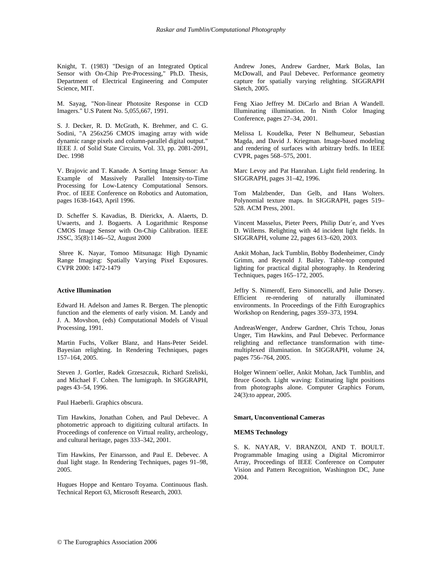Knight, T. (1983) "Design of an Integrated Optical Sensor with On-Chip Pre-Processing," Ph.D. Thesis, Department of Electrical Engineering and Computer Science, MIT.

M. Sayag, "Non-linear Photosite Response in CCD Imagers." U.S Patent No. 5,055,667, 1991.

S. J. Decker, R. D. McGrath, K. Brehmer, and C. G. Sodini, "A 256x256 CMOS imaging array with wide dynamic range pixels and column-parallel digital output." IEEE J. of Solid State Circuits, Vol. 33, pp. 2081-2091, Dec. 1998

V. Brajovic and T. Kanade. A Sorting Image Sensor: An Example of Massively Parallel Intensity-to-Time Processing for Low-Latency Computational Sensors. Proc. of IEEE Conference on Robotics and Automation, pages 1638-1643, April 1996.

D. Scheffer S. Kavadias, B. Dierickx, A. Alaerts, D. Uwaerts, and J. Bogaerts. A Logarithmic Response CMOS Image Sensor with On-Chip Calibration. IEEE JSSC, 35(8):1146--52, August 2000

Shree K. Nayar, Tomoo Mitsunaga: High Dynamic Range Imaging: Spatially Varying Pixel Exposures. CVPR 2000: 1472-1479

#### **Active Illumination**

Edward H. Adelson and James R. Bergen. The plenoptic function and the elements of early vision. M. Landy and J. A. Movshon, (eds) Computational Models of Visual Processing, 1991.

Martin Fuchs, Volker Blanz, and Hans-Peter Seidel. Bayesian relighting. In Rendering Techniques, pages 157–164, 2005.

Steven J. Gortler, Radek Grzeszczuk, Richard Szeliski, and Michael F. Cohen. The lumigraph. In SIGGRAPH, pages 43–54, 1996.

Paul Haeberli. Graphics obscura.

Tim Hawkins, Jonathan Cohen, and Paul Debevec. A photometric approach to digitizing cultural artifacts. In Proceedings of conference on Virtual reality, archeology, and cultural heritage, pages 333–342, 2001.

Tim Hawkins, Per Einarsson, and Paul E. Debevec. A dual light stage. In Rendering Techniques, pages 91–98, 2005.

Hugues Hoppe and Kentaro Toyama. Continuous flash. Technical Report 63, Microsoft Research, 2003.

Andrew Jones, Andrew Gardner, Mark Bolas, Ian McDowall, and Paul Debevec. Performance geometry capture for spatially varying relighting. SIGGRAPH Sketch, 2005.

Feng Xiao Jeffrey M. DiCarlo and Brian A Wandell. Illuminating illumination. In Ninth Color Imaging Conference, pages 27–34, 2001.

Melissa L Koudelka, Peter N Belhumeur, Sebastian Magda, and David J. Kriegman. Image-based modeling and rendering of surfaces with arbitrary brdfs. In IEEE CVPR, pages 568–575, 2001.

Marc Levoy and Pat Hanrahan. Light field rendering. In SIGGRAPH, pages 31–42, 1996.

Tom Malzbender, Dan Gelb, and Hans Wolters. Polynomial texture maps. In SIGGRAPH, pages 519– 528. ACM Press, 2001.

Vincent Masselus, Pieter Peers, Philip Dutr´e, and Yves D. Willems. Relighting with 4d incident light fields. In SIGGRAPH, volume 22, pages 613–620, 2003.

Ankit Mohan, Jack Tumblin, Bobby Bodenheimer, Cindy Grimm, and Reynold J. Bailey. Table-top computed lighting for practical digital photography. In Rendering Techniques, pages 165–172, 2005.

Jeffry S. Nimeroff, Eero Simoncelli, and Julie Dorsey. Efficient re-rendering of naturally illuminated environments. In Proceedings of the Fifth Eurographics Workshop on Rendering, pages 359–373, 1994.

AndreasWenger, Andrew Gardner, Chris Tchou, Jonas Unger, Tim Hawkins, and Paul Debevec. Performance relighting and reflectance transformation with timemultiplexed illumination. In SIGGRAPH, volume 24, pages 756–764, 2005.

Holger Winnem¨oeller, Ankit Mohan, Jack Tumblin, and Bruce Gooch. Light waving: Estimating light positions from photographs alone. Computer Graphics Forum, 24(3):to appear, 2005.

#### **Smart, Unconventional Cameras**

#### **MEMS Technology**

S. K. NAYAR, V. BRANZOI, AND T. BOULT. Programmable Imaging using a Digital Micromirror Array, Proceedings of IEEE Conference on Computer Vision and Pattern Recognition, Washington DC, June 2004.